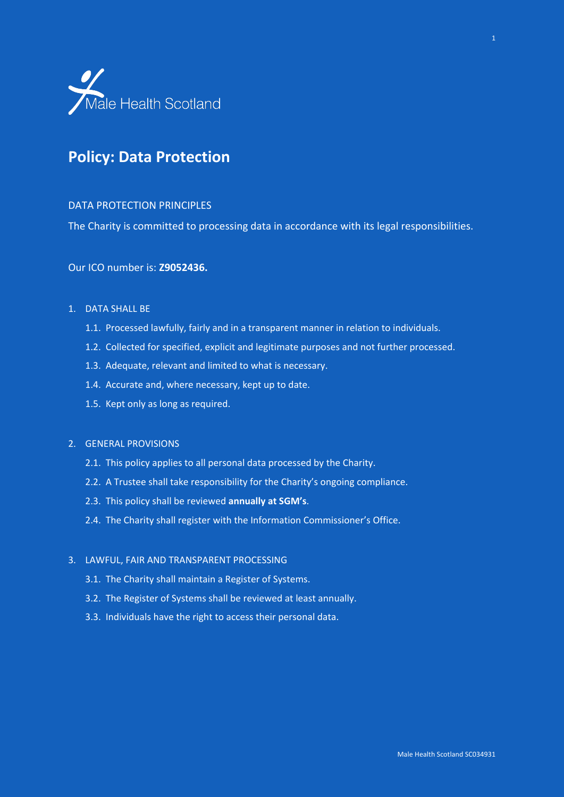

# **Policy: Data Protection**

#### DATA PROTECTION PRINCIPLES

The Charity is committed to processing data in accordance with its legal responsibilities.

# Our ICO number is: **Z9052436.**

#### 1. DATA SHALL BE

- 1.1. Processed lawfully, fairly and in a transparent manner in relation to individuals.
- 1.2. Collected for specified, explicit and legitimate purposes and not further processed.
- 1.3. Adequate, relevant and limited to what is necessary.
- 1.4. Accurate and, where necessary, kept up to date.
- 1.5. Kept only as long as required.

### 2. GENERAL PROVISIONS

- 2.1. This policy applies to all personal data processed by the Charity.
- 2.2. A Trustee shall take responsibility for the Charity's ongoing compliance.
- 2.3. This policy shall be reviewed **annually at SGM's**.
- 2.4. The Charity shall register with the Information Commissioner's Office.

#### 3. LAWFUL, FAIR AND TRANSPARENT PROCESSING

- 3.1. The Charity shall maintain a Register of Systems.
- 3.2. The Register of Systems shall be reviewed at least annually.
- 3.3. Individuals have the right to access their personal data.